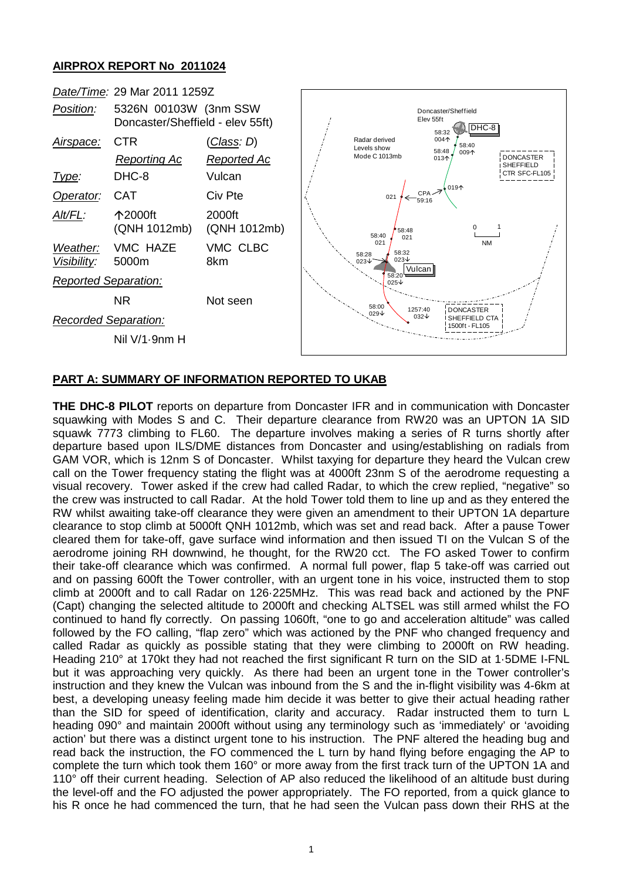# **AIRPROX REPORT No 2011024**



# **PART A: SUMMARY OF INFORMATION REPORTED TO UKAB**

**THE DHC-8 PILOT** reports on departure from Doncaster IFR and in communication with Doncaster squawking with Modes S and C. Their departure clearance from RW20 was an UPTON 1A SID squawk 7773 climbing to FL60. The departure involves making a series of R turns shortly after departure based upon ILS/DME distances from Doncaster and using/establishing on radials from GAM VOR, which is 12nm S of Doncaster. Whilst taxying for departure they heard the Vulcan crew call on the Tower frequency stating the flight was at 4000ft 23nm S of the aerodrome requesting a visual recovery. Tower asked if the crew had called Radar, to which the crew replied, "negative" so the crew was instructed to call Radar. At the hold Tower told them to line up and as they entered the RW whilst awaiting take-off clearance they were given an amendment to their UPTON 1A departure clearance to stop climb at 5000ft QNH 1012mb, which was set and read back. After a pause Tower cleared them for take-off, gave surface wind information and then issued TI on the Vulcan S of the aerodrome joining RH downwind, he thought, for the RW20 cct. The FO asked Tower to confirm their take-off clearance which was confirmed. A normal full power, flap 5 take-off was carried out and on passing 600ft the Tower controller, with an urgent tone in his voice, instructed them to stop climb at 2000ft and to call Radar on 126·225MHz. This was read back and actioned by the PNF (Capt) changing the selected altitude to 2000ft and checking ALTSEL was still armed whilst the FO continued to hand fly correctly. On passing 1060ft, "one to go and acceleration altitude" was called followed by the FO calling, "flap zero" which was actioned by the PNF who changed frequency and called Radar as quickly as possible stating that they were climbing to 2000ft on RW heading. Heading 210° at 170kt they had not reached the first significant R turn on the SID at 1·5DME I-FNL but it was approaching very quickly. As there had been an urgent tone in the Tower controller's instruction and they knew the Vulcan was inbound from the S and the in-flight visibility was 4-6km at best, a developing uneasy feeling made him decide it was better to give their actual heading rather than the SID for speed of identification, clarity and accuracy. Radar instructed them to turn L heading 090° and maintain 2000ft without using any terminology such as 'immediately' or 'avoiding action' but there was a distinct urgent tone to his instruction. The PNF altered the heading bug and read back the instruction, the FO commenced the L turn by hand flying before engaging the AP to complete the turn which took them 160° or more away from the first track turn of the UPTON 1A and 110° off their current heading. Selection of AP also reduced the likelihood of an altitude bust during the level-off and the FO adjusted the power appropriately. The FO reported, from a quick glance to his R once he had commenced the turn, that he had seen the Vulcan pass down their RHS at the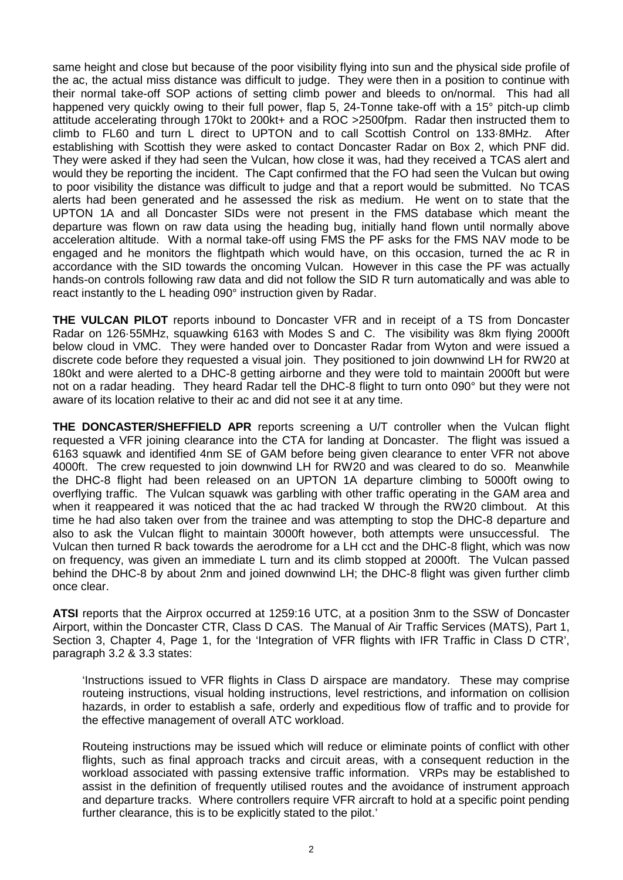same height and close but because of the poor visibility flying into sun and the physical side profile of the ac, the actual miss distance was difficult to judge. They were then in a position to continue with their normal take-off SOP actions of setting climb power and bleeds to on/normal. This had all happened very quickly owing to their full power, flap 5, 24-Tonne take-off with a 15° pitch-up climb attitude accelerating through 170kt to 200kt+ and a ROC >2500fpm. Radar then instructed them to climb to FL60 and turn L direct to UPTON and to call Scottish Control on 133·8MHz. After establishing with Scottish they were asked to contact Doncaster Radar on Box 2, which PNF did. They were asked if they had seen the Vulcan, how close it was, had they received a TCAS alert and would they be reporting the incident. The Capt confirmed that the FO had seen the Vulcan but owing to poor visibility the distance was difficult to judge and that a report would be submitted. No TCAS alerts had been generated and he assessed the risk as medium. He went on to state that the UPTON 1A and all Doncaster SIDs were not present in the FMS database which meant the departure was flown on raw data using the heading bug, initially hand flown until normally above acceleration altitude. With a normal take-off using FMS the PF asks for the FMS NAV mode to be engaged and he monitors the flightpath which would have, on this occasion, turned the ac R in accordance with the SID towards the oncoming Vulcan. However in this case the PF was actually hands-on controls following raw data and did not follow the SID R turn automatically and was able to react instantly to the L heading 090° instruction given by Radar.

**THE VULCAN PILOT** reports inbound to Doncaster VFR and in receipt of a TS from Doncaster Radar on 126·55MHz, squawking 6163 with Modes S and C. The visibility was 8km flying 2000ft below cloud in VMC. They were handed over to Doncaster Radar from Wyton and were issued a discrete code before they requested a visual join. They positioned to join downwind LH for RW20 at 180kt and were alerted to a DHC-8 getting airborne and they were told to maintain 2000ft but were not on a radar heading. They heard Radar tell the DHC-8 flight to turn onto 090° but they were not aware of its location relative to their ac and did not see it at any time.

**THE DONCASTER/SHEFFIELD APR** reports screening a U/T controller when the Vulcan flight requested a VFR joining clearance into the CTA for landing at Doncaster. The flight was issued a 6163 squawk and identified 4nm SE of GAM before being given clearance to enter VFR not above 4000ft. The crew requested to join downwind LH for RW20 and was cleared to do so. Meanwhile the DHC-8 flight had been released on an UPTON 1A departure climbing to 5000ft owing to overflying traffic. The Vulcan squawk was garbling with other traffic operating in the GAM area and when it reappeared it was noticed that the ac had tracked W through the RW20 climbout. At this time he had also taken over from the trainee and was attempting to stop the DHC-8 departure and also to ask the Vulcan flight to maintain 3000ft however, both attempts were unsuccessful. The Vulcan then turned R back towards the aerodrome for a LH cct and the DHC-8 flight, which was now on frequency, was given an immediate L turn and its climb stopped at 2000ft. The Vulcan passed behind the DHC-8 by about 2nm and joined downwind LH; the DHC-8 flight was given further climb once clear.

**ATSI** reports that the Airprox occurred at 1259:16 UTC, at a position 3nm to the SSW of Doncaster Airport, within the Doncaster CTR, Class D CAS. The Manual of Air Traffic Services (MATS), Part 1, Section 3, Chapter 4, Page 1, for the 'Integration of VFR flights with IFR Traffic in Class D CTR', paragraph 3.2 & 3.3 states:

'Instructions issued to VFR flights in Class D airspace are mandatory. These may comprise routeing instructions, visual holding instructions, level restrictions, and information on collision hazards, in order to establish a safe, orderly and expeditious flow of traffic and to provide for the effective management of overall ATC workload.

Routeing instructions may be issued which will reduce or eliminate points of conflict with other flights, such as final approach tracks and circuit areas, with a consequent reduction in the workload associated with passing extensive traffic information. VRPs may be established to assist in the definition of frequently utilised routes and the avoidance of instrument approach and departure tracks. Where controllers require VFR aircraft to hold at a specific point pending further clearance, this is to be explicitly stated to the pilot.'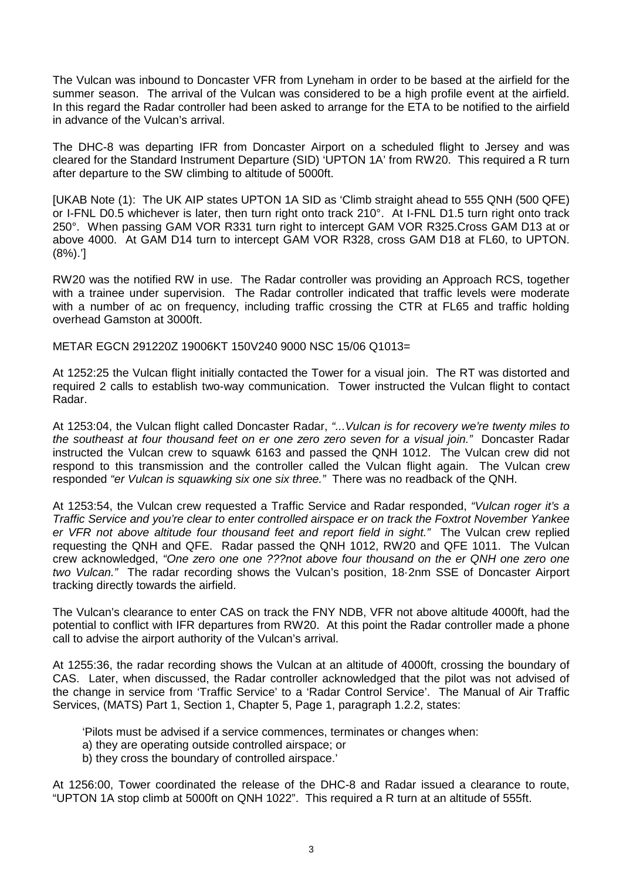The Vulcan was inbound to Doncaster VFR from Lyneham in order to be based at the airfield for the summer season. The arrival of the Vulcan was considered to be a high profile event at the airfield. In this regard the Radar controller had been asked to arrange for the ETA to be notified to the airfield in advance of the Vulcan's arrival.

The DHC-8 was departing IFR from Doncaster Airport on a scheduled flight to Jersey and was cleared for the Standard Instrument Departure (SID) 'UPTON 1A' from RW20. This required a R turn after departure to the SW climbing to altitude of 5000ft.

[UKAB Note (1): The UK AIP states UPTON 1A SID as 'Climb straight ahead to 555 QNH (500 QFE) or I-FNL D0.5 whichever is later, then turn right onto track 210°. At I-FNL D1.5 turn right onto track 250°. When passing GAM VOR R331 turn right to intercept GAM VOR R325.Cross GAM D13 at or above 4000. At GAM D14 turn to intercept GAM VOR R328, cross GAM D18 at FL60, to UPTON. (8%).']

RW20 was the notified RW in use. The Radar controller was providing an Approach RCS, together with a trainee under supervision. The Radar controller indicated that traffic levels were moderate with a number of ac on frequency, including traffic crossing the CTR at FL65 and traffic holding overhead Gamston at 3000ft.

METAR EGCN 291220Z 19006KT 150V240 9000 NSC 15/06 Q1013=

At 1252:25 the Vulcan flight initially contacted the Tower for a visual join. The RT was distorted and required 2 calls to establish two-way communication. Tower instructed the Vulcan flight to contact Radar.

At 1253:04, the Vulcan flight called Doncaster Radar, *"...Vulcan is for recovery we're twenty miles to the southeast at four thousand feet on er one zero zero seven for a visual join."* Doncaster Radar instructed the Vulcan crew to squawk 6163 and passed the QNH 1012. The Vulcan crew did not respond to this transmission and the controller called the Vulcan flight again. The Vulcan crew responded *"er Vulcan is squawking six one six three."* There was no readback of the QNH.

At 1253:54, the Vulcan crew requested a Traffic Service and Radar responded, *"Vulcan roger it's a Traffic Service and you're clear to enter controlled airspace er on track the Foxtrot November Yankee er VFR not above altitude four thousand feet and report field in sight."* The Vulcan crew replied requesting the QNH and QFE. Radar passed the QNH 1012, RW20 and QFE 1011. The Vulcan crew acknowledged, *"One zero one one ???not above four thousand on the er QNH one zero one two Vulcan."* The radar recording shows the Vulcan's position, 18·2nm SSE of Doncaster Airport tracking directly towards the airfield.

The Vulcan's clearance to enter CAS on track the FNY NDB, VFR not above altitude 4000ft, had the potential to conflict with IFR departures from RW20. At this point the Radar controller made a phone call to advise the airport authority of the Vulcan's arrival.

At 1255:36, the radar recording shows the Vulcan at an altitude of 4000ft, crossing the boundary of CAS. Later, when discussed, the Radar controller acknowledged that the pilot was not advised of the change in service from 'Traffic Service' to a 'Radar Control Service'. The Manual of Air Traffic Services, (MATS) Part 1, Section 1, Chapter 5, Page 1, paragraph 1.2.2, states:

'Pilots must be advised if a service commences, terminates or changes when:

- a) they are operating outside controlled airspace; or
- b) they cross the boundary of controlled airspace.'

At 1256:00, Tower coordinated the release of the DHC-8 and Radar issued a clearance to route, "UPTON 1A stop climb at 5000ft on QNH 1022". This required a R turn at an altitude of 555ft.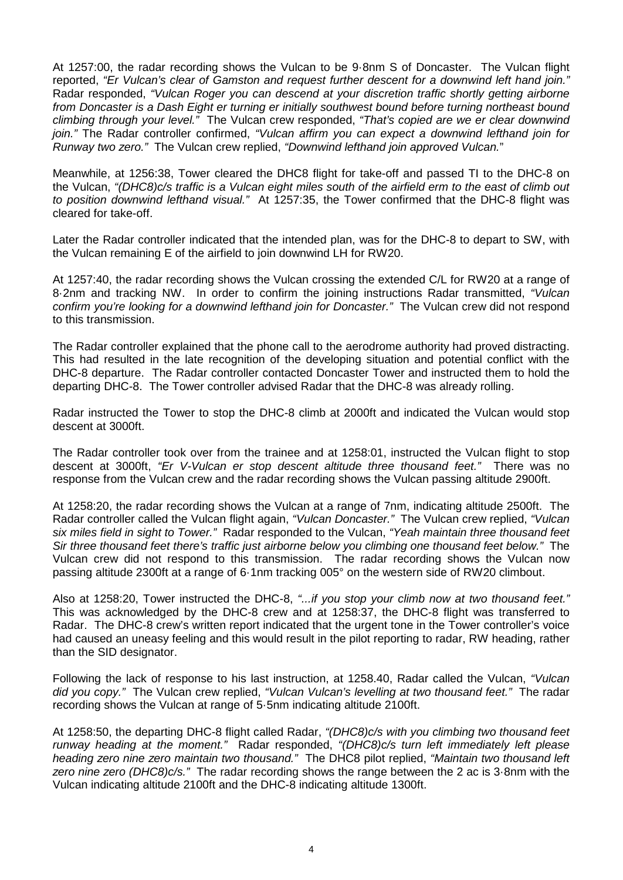At 1257:00, the radar recording shows the Vulcan to be 9·8nm S of Doncaster. The Vulcan flight reported, *"Er Vulcan's clear of Gamston and request further descent for a downwind left hand join."* Radar responded, *"Vulcan Roger you can descend at your discretion traffic shortly getting airborne from Doncaster is a Dash Eight er turning er initially southwest bound before turning northeast bound climbing through your level."* The Vulcan crew responded, *"That's copied are we er clear downwind join."* The Radar controller confirmed, *"Vulcan affirm you can expect a downwind lefthand join for Runway two zero."* The Vulcan crew replied, *"Downwind lefthand join approved Vulcan.*"

Meanwhile, at 1256:38, Tower cleared the DHC8 flight for take-off and passed TI to the DHC-8 on the Vulcan, *"(DHC8)c/s traffic is a Vulcan eight miles south of the airfield erm to the east of climb out to position downwind lefthand visual."* At 1257:35, the Tower confirmed that the DHC-8 flight was cleared for take-off.

Later the Radar controller indicated that the intended plan, was for the DHC-8 to depart to SW, with the Vulcan remaining E of the airfield to join downwind LH for RW20.

At 1257:40, the radar recording shows the Vulcan crossing the extended C/L for RW20 at a range of 8·2nm and tracking NW. In order to confirm the joining instructions Radar transmitted, *"Vulcan confirm you're looking for a downwind lefthand join for Doncaster."* The Vulcan crew did not respond to this transmission.

The Radar controller explained that the phone call to the aerodrome authority had proved distracting. This had resulted in the late recognition of the developing situation and potential conflict with the DHC-8 departure. The Radar controller contacted Doncaster Tower and instructed them to hold the departing DHC-8. The Tower controller advised Radar that the DHC-8 was already rolling.

Radar instructed the Tower to stop the DHC-8 climb at 2000ft and indicated the Vulcan would stop descent at 3000ft.

The Radar controller took over from the trainee and at 1258:01, instructed the Vulcan flight to stop descent at 3000ft, *"Er V-Vulcan er stop descent altitude three thousand feet."* There was no response from the Vulcan crew and the radar recording shows the Vulcan passing altitude 2900ft.

At 1258:20, the radar recording shows the Vulcan at a range of 7nm, indicating altitude 2500ft. The Radar controller called the Vulcan flight again, *"Vulcan Doncaster."* The Vulcan crew replied, *"Vulcan six miles field in sight to Tower."* Radar responded to the Vulcan, *"Yeah maintain three thousand feet Sir three thousand feet there's traffic just airborne below you climbing one thousand feet below."* The Vulcan crew did not respond to this transmission. The radar recording shows the Vulcan now passing altitude 2300ft at a range of 6·1nm tracking 005° on the western side of RW20 climbout.

Also at 1258:20, Tower instructed the DHC-8, *"...if you stop your climb now at two thousand feet."* This was acknowledged by the DHC-8 crew and at 1258:37, the DHC-8 flight was transferred to Radar. The DHC-8 crew's written report indicated that the urgent tone in the Tower controller's voice had caused an uneasy feeling and this would result in the pilot reporting to radar, RW heading, rather than the SID designator.

Following the lack of response to his last instruction, at 1258.40, Radar called the Vulcan, *"Vulcan did you copy."* The Vulcan crew replied, *"Vulcan Vulcan's levelling at two thousand feet."* The radar recording shows the Vulcan at range of 5·5nm indicating altitude 2100ft.

At 1258:50, the departing DHC-8 flight called Radar, *"(DHC8)c/s with you climbing two thousand feet runway heading at the moment."* Radar responded, *"(DHC8)c/s turn left immediately left please heading zero nine zero maintain two thousand."* The DHC8 pilot replied, *"Maintain two thousand left zero nine zero (DHC8)c/s."* The radar recording shows the range between the 2 ac is 3·8nm with the Vulcan indicating altitude 2100ft and the DHC-8 indicating altitude 1300ft.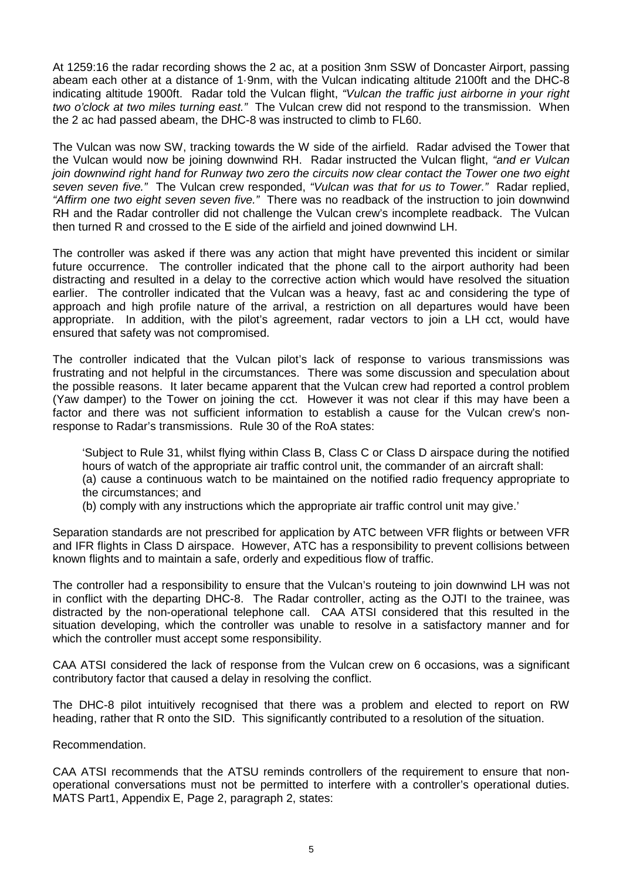At 1259:16 the radar recording shows the 2 ac, at a position 3nm SSW of Doncaster Airport, passing abeam each other at a distance of 1·9nm, with the Vulcan indicating altitude 2100ft and the DHC-8 indicating altitude 1900ft. Radar told the Vulcan flight, *"Vulcan the traffic just airborne in your right two o'clock at two miles turning east."* The Vulcan crew did not respond to the transmission. When the 2 ac had passed abeam, the DHC-8 was instructed to climb to FL60.

The Vulcan was now SW, tracking towards the W side of the airfield. Radar advised the Tower that the Vulcan would now be joining downwind RH. Radar instructed the Vulcan flight, *"and er Vulcan join downwind right hand for Runway two zero the circuits now clear contact the Tower one two eight seven seven five."* The Vulcan crew responded, *"Vulcan was that for us to Tower."* Radar replied, *"Affirm one two eight seven seven five."* There was no readback of the instruction to join downwind RH and the Radar controller did not challenge the Vulcan crew's incomplete readback. The Vulcan then turned R and crossed to the E side of the airfield and joined downwind LH.

The controller was asked if there was any action that might have prevented this incident or similar future occurrence. The controller indicated that the phone call to the airport authority had been distracting and resulted in a delay to the corrective action which would have resolved the situation earlier. The controller indicated that the Vulcan was a heavy, fast ac and considering the type of approach and high profile nature of the arrival, a restriction on all departures would have been appropriate. In addition, with the pilot's agreement, radar vectors to join a LH cct, would have ensured that safety was not compromised.

The controller indicated that the Vulcan pilot's lack of response to various transmissions was frustrating and not helpful in the circumstances. There was some discussion and speculation about the possible reasons. It later became apparent that the Vulcan crew had reported a control problem (Yaw damper) to the Tower on joining the cct. However it was not clear if this may have been a factor and there was not sufficient information to establish a cause for the Vulcan crew's nonresponse to Radar's transmissions. Rule 30 of the RoA states:

'Subject to Rule 31, whilst flying within Class B, Class C or Class D airspace during the notified hours of watch of the appropriate air traffic control unit, the commander of an aircraft shall:

(a) cause a continuous watch to be maintained on the notified radio frequency appropriate to the circumstances; and

(b) comply with any instructions which the appropriate air traffic control unit may give.'

Separation standards are not prescribed for application by ATC between VFR flights or between VFR and IFR flights in Class D airspace. However, ATC has a responsibility to prevent collisions between known flights and to maintain a safe, orderly and expeditious flow of traffic.

The controller had a responsibility to ensure that the Vulcan's routeing to join downwind LH was not in conflict with the departing DHC-8. The Radar controller, acting as the OJTI to the trainee, was distracted by the non-operational telephone call. CAA ATSI considered that this resulted in the situation developing, which the controller was unable to resolve in a satisfactory manner and for which the controller must accept some responsibility.

CAA ATSI considered the lack of response from the Vulcan crew on 6 occasions, was a significant contributory factor that caused a delay in resolving the conflict.

The DHC-8 pilot intuitively recognised that there was a problem and elected to report on RW heading, rather that R onto the SID. This significantly contributed to a resolution of the situation.

#### Recommendation.

CAA ATSI recommends that the ATSU reminds controllers of the requirement to ensure that nonoperational conversations must not be permitted to interfere with a controller's operational duties. MATS Part1, Appendix E, Page 2, paragraph 2, states: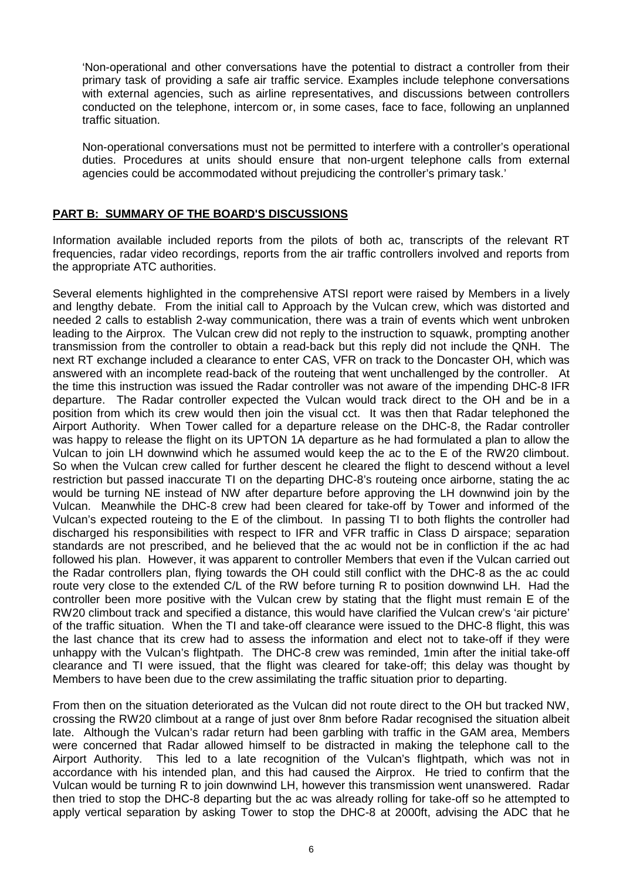'Non-operational and other conversations have the potential to distract a controller from their primary task of providing a safe air traffic service. Examples include telephone conversations with external agencies, such as airline representatives, and discussions between controllers conducted on the telephone, intercom or, in some cases, face to face, following an unplanned traffic situation.

Non-operational conversations must not be permitted to interfere with a controller's operational duties. Procedures at units should ensure that non-urgent telephone calls from external agencies could be accommodated without prejudicing the controller's primary task.'

# **PART B: SUMMARY OF THE BOARD'S DISCUSSIONS**

Information available included reports from the pilots of both ac, transcripts of the relevant RT frequencies, radar video recordings, reports from the air traffic controllers involved and reports from the appropriate ATC authorities.

Several elements highlighted in the comprehensive ATSI report were raised by Members in a lively and lengthy debate. From the initial call to Approach by the Vulcan crew, which was distorted and needed 2 calls to establish 2-way communication, there was a train of events which went unbroken leading to the Airprox. The Vulcan crew did not reply to the instruction to squawk, prompting another transmission from the controller to obtain a read-back but this reply did not include the QNH. The next RT exchange included a clearance to enter CAS, VFR on track to the Doncaster OH, which was answered with an incomplete read-back of the routeing that went unchallenged by the controller. At the time this instruction was issued the Radar controller was not aware of the impending DHC-8 IFR departure. The Radar controller expected the Vulcan would track direct to the OH and be in a position from which its crew would then join the visual cct. It was then that Radar telephoned the Airport Authority. When Tower called for a departure release on the DHC-8, the Radar controller was happy to release the flight on its UPTON 1A departure as he had formulated a plan to allow the Vulcan to join LH downwind which he assumed would keep the ac to the E of the RW20 climbout. So when the Vulcan crew called for further descent he cleared the flight to descend without a level restriction but passed inaccurate TI on the departing DHC-8's routeing once airborne, stating the ac would be turning NE instead of NW after departure before approving the LH downwind join by the Vulcan. Meanwhile the DHC-8 crew had been cleared for take-off by Tower and informed of the Vulcan's expected routeing to the E of the climbout. In passing TI to both flights the controller had discharged his responsibilities with respect to IFR and VFR traffic in Class D airspace; separation standards are not prescribed, and he believed that the ac would not be in confliction if the ac had followed his plan. However, it was apparent to controller Members that even if the Vulcan carried out the Radar controllers plan, flying towards the OH could still conflict with the DHC-8 as the ac could route very close to the extended C/L of the RW before turning R to position downwind LH. Had the controller been more positive with the Vulcan crew by stating that the flight must remain E of the RW20 climbout track and specified a distance, this would have clarified the Vulcan crew's 'air picture' of the traffic situation. When the TI and take-off clearance were issued to the DHC-8 flight, this was the last chance that its crew had to assess the information and elect not to take-off if they were unhappy with the Vulcan's flightpath. The DHC-8 crew was reminded, 1min after the initial take-off clearance and TI were issued, that the flight was cleared for take-off; this delay was thought by Members to have been due to the crew assimilating the traffic situation prior to departing.

From then on the situation deteriorated as the Vulcan did not route direct to the OH but tracked NW, crossing the RW20 climbout at a range of just over 8nm before Radar recognised the situation albeit late. Although the Vulcan's radar return had been garbling with traffic in the GAM area, Members were concerned that Radar allowed himself to be distracted in making the telephone call to the Airport Authority. This led to a late recognition of the Vulcan's flightpath, which was not in accordance with his intended plan, and this had caused the Airprox. He tried to confirm that the Vulcan would be turning R to join downwind LH, however this transmission went unanswered. Radar then tried to stop the DHC-8 departing but the ac was already rolling for take-off so he attempted to apply vertical separation by asking Tower to stop the DHC-8 at 2000ft, advising the ADC that he